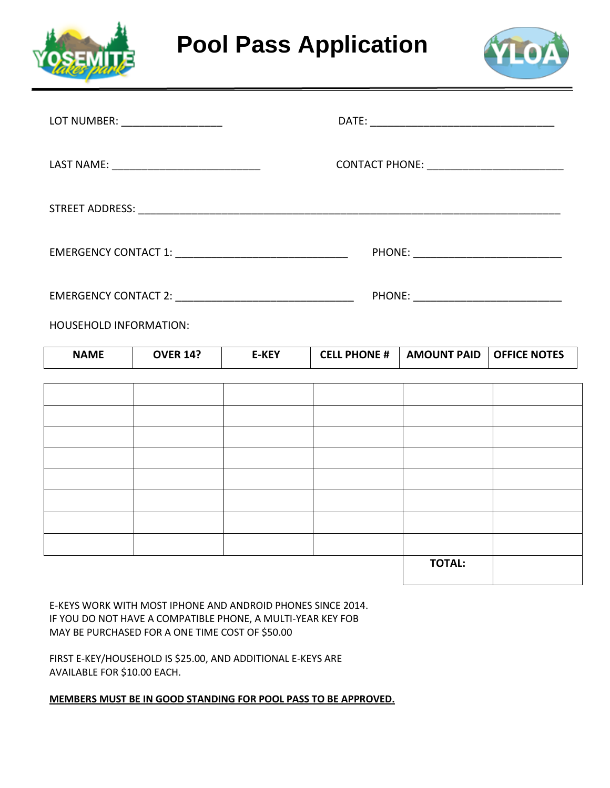

**Pool Pass Application**



|                               | LOT NUMBER: ___________________ |              |                                              |                    |                     |  |
|-------------------------------|---------------------------------|--------------|----------------------------------------------|--------------------|---------------------|--|
|                               |                                 |              | CONTACT PHONE: _____________________________ |                    |                     |  |
|                               |                                 |              |                                              |                    |                     |  |
|                               |                                 |              |                                              |                    |                     |  |
|                               |                                 |              |                                              |                    |                     |  |
| <b>HOUSEHOLD INFORMATION:</b> |                                 |              |                                              |                    |                     |  |
| <b>NAME</b>                   | <b>OVER 14?</b>                 | <b>E-KEY</b> | <b>CELL PHONE #</b>                          | <b>AMOUNT PAID</b> | <b>OFFICE NOTES</b> |  |
|                               |                                 |              |                                              |                    |                     |  |
|                               |                                 |              |                                              |                    |                     |  |
|                               |                                 |              |                                              |                    |                     |  |
|                               |                                 |              |                                              |                    |                     |  |

|  |  | <b>TOTAL:</b> |  |
|--|--|---------------|--|
|  |  |               |  |
|  |  |               |  |
|  |  |               |  |
|  |  |               |  |
|  |  |               |  |
|  |  |               |  |

E-KEYS WORK WITH MOST IPHONE AND ANDROID PHONES SINCE 2014. IF YOU DO NOT HAVE A COMPATIBLE PHONE, A MULTI-YEAR KEY FOB MAY BE PURCHASED FOR A ONE TIME COST OF \$50.00

FIRST E-KEY/HOUSEHOLD IS \$25.00, AND ADDITIONAL E-KEYS ARE AVAILABLE FOR \$10.00 EACH.

**MEMBERS MUST BE IN GOOD STANDING FOR POOL PASS TO BE APPROVED.**